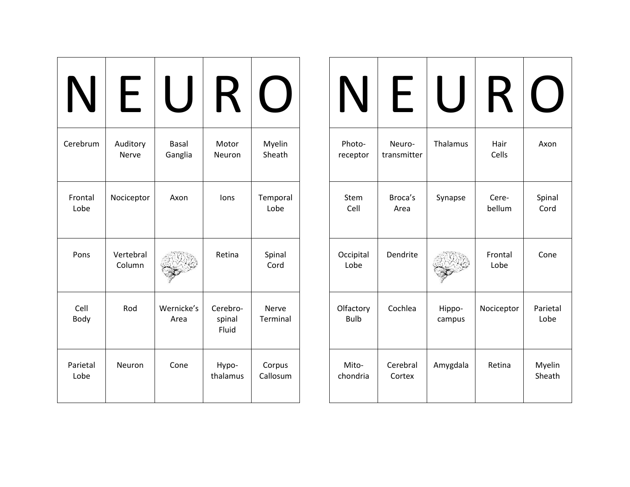|                  | L.                  |                         | К                           |                    |
|------------------|---------------------|-------------------------|-----------------------------|--------------------|
| Cerebrum         | Auditory<br>Nerve   | <b>Basal</b><br>Ganglia | Motor<br>Neuron             | Myelin<br>Sheath   |
| Frontal<br>Lobe  | Nociceptor          | Axon                    | lons                        | Temporal<br>Lobe   |
| Pons             | Vertebral<br>Column |                         | Retina                      | Spinal<br>Cord     |
| Cell<br>Body     | Rod                 | Wernicke's<br>Area      | Cerebro-<br>spinal<br>Fluid | Nerve<br>Terminal  |
| Parietal<br>Lobe | Neuron              | Cone                    | Hypo-<br>thalamus           | Corpus<br>Callosum |

| $\blacksquare$           |                       |                  |                 |                  |
|--------------------------|-----------------------|------------------|-----------------|------------------|
| Photo-<br>receptor       | Neuro-<br>transmitter | Thalamus         | Hair<br>Cells   | Axon             |
| Stem<br>Cell             | Broca's<br>Area       | Synapse          | Cere-<br>bellum | Spinal<br>Cord   |
| Occipital<br>Lobe        | Dendrite              |                  | Frontal<br>Lobe | Cone             |
| Olfactory<br><b>Bulb</b> | Cochlea               | Hippo-<br>campus | Nociceptor      | Parietal<br>Lobe |
| Mito-<br>chondria        | Cerebral<br>Cortex    | Amygdala         | Retina          | Myelin<br>Sheath |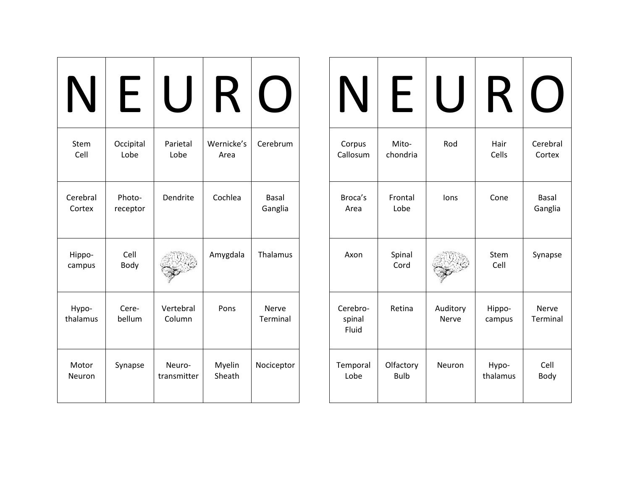|                        | $\vdash$           |                       | K                  |                         |
|------------------------|--------------------|-----------------------|--------------------|-------------------------|
| Stem<br>Cell           | Occipital<br>Lobe  | Parietal<br>Lobe      | Wernicke's<br>Area | Cerebrum                |
| Cerebral<br>Cortex     | Photo-<br>receptor | Dendrite              | Cochlea            | <b>Basal</b><br>Ganglia |
| Hippo-<br>campus       | Cell<br>Body       |                       | Amygdala           | Thalamus                |
| Hypo-<br>thalamus      | Cere-<br>bellum    | Vertebral<br>Column   | Pons               | Nerve<br>Terminal       |
| Motor<br><b>Neuron</b> | Synapse            | Neuro-<br>transmitter | Myelin<br>Sheath   | Nociceptor              |

| Corpus<br>Callosum          | Mito-<br>chondria        | Rod                      | Hair<br>Cells     | Cerebral<br>Cortex       |
|-----------------------------|--------------------------|--------------------------|-------------------|--------------------------|
| Broca's<br>Area             | Frontal<br>Lobe          | lons                     | Cone              | <b>Basal</b><br>Ganglia  |
| Axon                        | Spinal<br>Cord           |                          | Stem<br>Cell      | Synapse                  |
| Cerebro-<br>spinal<br>Fluid | Retina                   | Auditory<br><b>Nerve</b> | Hippo-<br>campus  | Nerve<br><b>Terminal</b> |
| Temporal<br>Lobe            | Olfactory<br><b>Bulb</b> | Neuron                   | Hypo-<br>thalamus | Cell<br>Body             |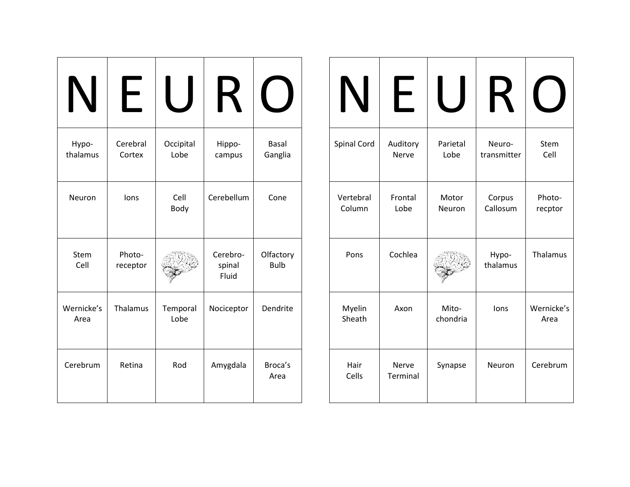| Hypo-<br>thalamus  | Cerebral<br>Cortex | Occipital<br>Lobe | Hippo-<br>campus            | <b>Basal</b><br>Ganglia  |
|--------------------|--------------------|-------------------|-----------------------------|--------------------------|
| Neuron             | lons               | Cell<br>Body      | Cerebellum                  | Cone                     |
| Stem<br>Cell       | Photo-<br>receptor |                   | Cerebro-<br>spinal<br>Fluid | Olfactory<br><b>Bulb</b> |
| Wernicke's<br>Area | Thalamus           | Temporal<br>Lobe  | Nociceptor                  | Dendrite                 |
| Cerebrum           | Retina             | Rod               | Amygdala                    | Broca's<br>Area          |

| $\blacklozenge$     |                   |                   |                       |                    |
|---------------------|-------------------|-------------------|-----------------------|--------------------|
| Spinal Cord         | Auditory<br>Nerve | Parietal<br>Lobe  | Neuro-<br>transmitter | Stem<br>Cell       |
| Vertebral<br>Column | Frontal<br>Lobe   | Motor<br>Neuron   | Corpus<br>Callosum    | Photo-<br>recptor  |
| Pons                | Cochlea           |                   | Hypo-<br>thalamus     | Thalamus           |
| Myelin<br>Sheath    | Axon              | Mito-<br>chondria | lons                  | Wernicke's<br>Area |
| Hair<br>Cells       | Nerve<br>Terminal | Synapse           | Neuron                | Cerebrum           |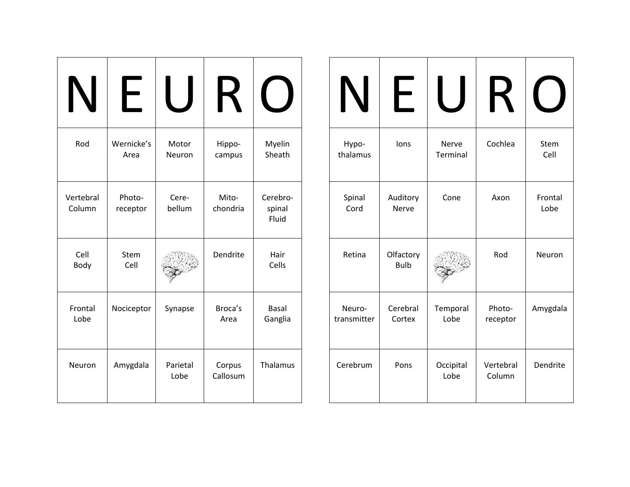|                     | ┝                  |                  | К                  |                             |
|---------------------|--------------------|------------------|--------------------|-----------------------------|
| Rod                 | Wernicke's<br>Area | Motor<br>Neuron  | Hippo-<br>campus   | Myelin<br>Sheath            |
| Vertebral<br>Column | Photo-<br>receptor | Cere-<br>bellum  | Mito-<br>chondria  | Cerebro-<br>spinal<br>Fluid |
| Cell<br>Body        | Stem<br>Cell       |                  | Dendrite           | Hair<br>Cells               |
| Frontal<br>Lobe     | Nociceptor         | Synapse          | Broca's<br>Area    | <b>Basal</b><br>Ganglia     |
| Neuron              | Amygdala           | Parietal<br>Lobe | Corpus<br>Callosum | Thalamus                    |

|                       |                          |                   | K                   |                 |
|-----------------------|--------------------------|-------------------|---------------------|-----------------|
| Hypo-<br>thalamus     | lons                     | Nerve<br>Terminal | Cochlea             | Stem<br>Cell    |
| Spinal<br>Cord        | Auditory<br>Nerve        | Cone              | Axon                | Frontal<br>Lobe |
| Retina                | Olfactory<br><b>Bulb</b> |                   | Rod                 | Neuron          |
| Neuro-<br>transmitter | Cerebral<br>Cortex       | Temporal<br>Lobe  | Photo-<br>receptor  | Amygdala        |
| Cerebrum              | Pons                     | Occipital<br>Lobe | Vertebral<br>Column | Dendrite        |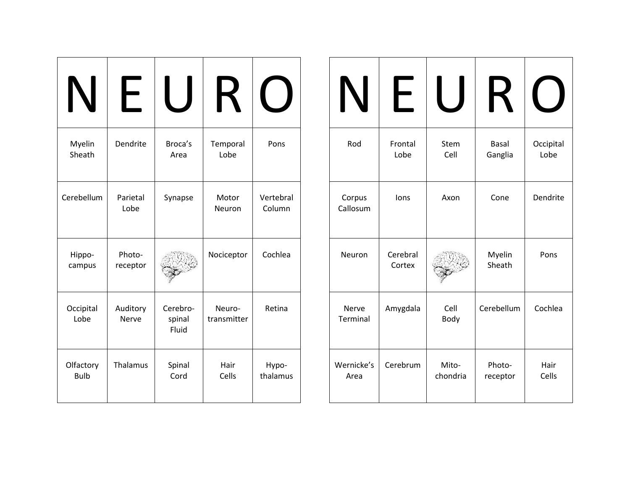| N                        | ┝                        |                             | К                     |                     |
|--------------------------|--------------------------|-----------------------------|-----------------------|---------------------|
| Myelin<br>Sheath         | Dendrite                 | Broca's<br>Area             | Temporal<br>Lobe      | Pons                |
| Cerebellum               | Parietal<br>Lobe         | Synapse                     | Motor<br>Neuron       | Vertebral<br>Column |
| Hippo-<br>campus         | Photo-<br>receptor       |                             | Nociceptor            | Cochlea             |
| Occipital<br>Lobe        | Auditory<br><b>Nerve</b> | Cerebro-<br>spinal<br>Fluid | Neuro-<br>transmitter | Retina              |
| Olfactory<br><b>Bulb</b> | Thalamus                 | Spinal<br>Cord              | Hair<br>Cells         | Hypo-<br>thalamus   |

| $\boldsymbol{\mathsf{N}}$ | ┝                  |                   | $\blacktriangleright$   |                   |
|---------------------------|--------------------|-------------------|-------------------------|-------------------|
| Rod                       | Frontal<br>Lobe    | Stem<br>Cell      | <b>Basal</b><br>Ganglia | Occipital<br>Lobe |
| Corpus<br>Callosum        | lons               | Axon              | Cone                    | Dendrite          |
| Neuron                    | Cerebral<br>Cortex |                   | Myelin<br>Sheath        | Pons              |
| Nerve<br>Terminal         | Amygdala           | Cell<br>Body      | Cerebellum              | Cochlea           |
| Wernicke's<br>Area        | Cerebrum           | Mito-<br>chondria | Photo-<br>receptor      | Hair<br>Cells     |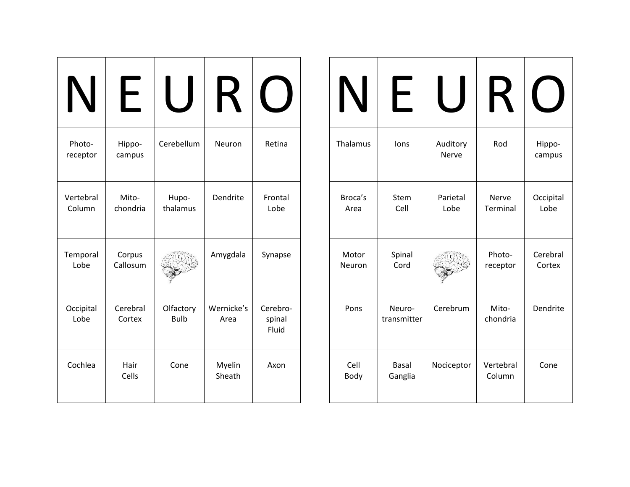| IN                  |                    |                          | K                  |                             |
|---------------------|--------------------|--------------------------|--------------------|-----------------------------|
| Photo-<br>receptor  | Hippo-<br>campus   | Cerebellum               | Neuron             | Retina                      |
| Vertebral<br>Column | Mito-<br>chondria  | Hupo-<br>thalamus        | Dendrite           | Frontal<br>Lobe             |
| Temporal<br>Lobe    | Corpus<br>Callosum |                          | Amygdala           | Synapse                     |
| Occipital<br>Lobe   | Cerebral<br>Cortex | Olfactory<br><b>Bulb</b> | Wernicke's<br>Area | Cerebro-<br>spinal<br>Fluid |
| Cochlea             | Hair<br>Cells      | Cone                     | Myelin<br>Sheath   | Axon                        |

| <b>IVI</b>      | ┣                       |                   | K                   |                    |
|-----------------|-------------------------|-------------------|---------------------|--------------------|
| Thalamus        | lons                    | Auditory<br>Nerve | Rod                 | Hippo-<br>campus   |
| Broca's<br>Area | Stem<br>Cell            | Parietal<br>Lobe  | Nerve<br>Terminal   | Occipital<br>Lobe  |
| Motor<br>Neuron | Spinal<br>Cord          |                   | Photo-<br>receptor  | Cerebral<br>Cortex |
| Pons            | Neuro-<br>transmitter   | Cerebrum          | Mito-<br>chondria   | Dendrite           |
| Cell<br>Body    | <b>Basal</b><br>Ganglia | Nociceptor        | Vertebral<br>Column | Cone               |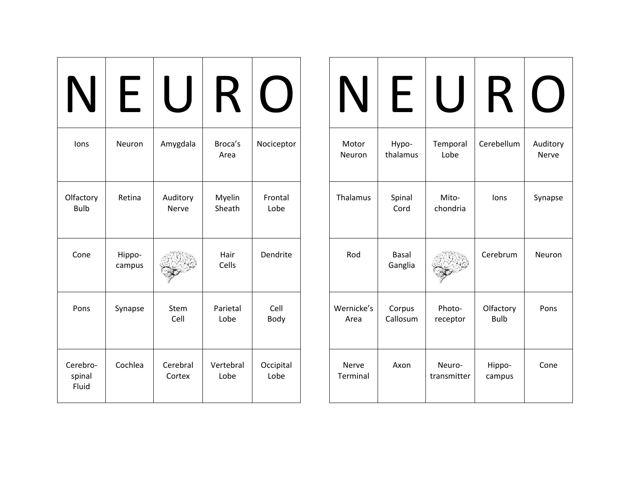| lons                        | Neuron           | Amygdala           | Broca's<br>Area   | Nociceptor        |
|-----------------------------|------------------|--------------------|-------------------|-------------------|
| Olfactory<br><b>Bulb</b>    | Retina           | Auditory<br>Nerve  | Myelin<br>Sheath  | Frontal<br>Lobe   |
| Cone                        | Hippo-<br>campus |                    | Hair<br>Cells     | Dendrite          |
| Pons                        | Synapse          | Stem<br>Cell       | Parietal<br>Lobe  | Cell<br>Body      |
| Cerebro-<br>spinal<br>Fluid | Cochlea          | Cerebral<br>Cortex | Vertebral<br>Lobe | Occipital<br>Lobe |

| IV                       | $\vdash$                |                       |                          |                   |
|--------------------------|-------------------------|-----------------------|--------------------------|-------------------|
| Motor<br>Neuron          | Hypo-<br>thalamus       | Temporal<br>Lobe      | Cerebellum               | Auditory<br>Nerve |
| Thalamus                 | Spinal<br>Cord          | Mito-<br>chondria     | lons                     | Synapse           |
| Rod                      | <b>Basal</b><br>Ganglia |                       | Cerebrum                 | Neuron            |
| Wernicke's<br>Area       | Corpus<br>Callosum      | Photo-<br>receptor    | Olfactory<br><b>Bulb</b> | Pons              |
| <b>Nerve</b><br>Terminal | Axon                    | Neuro-<br>transmitter | Hippo-<br>campus         | Cone              |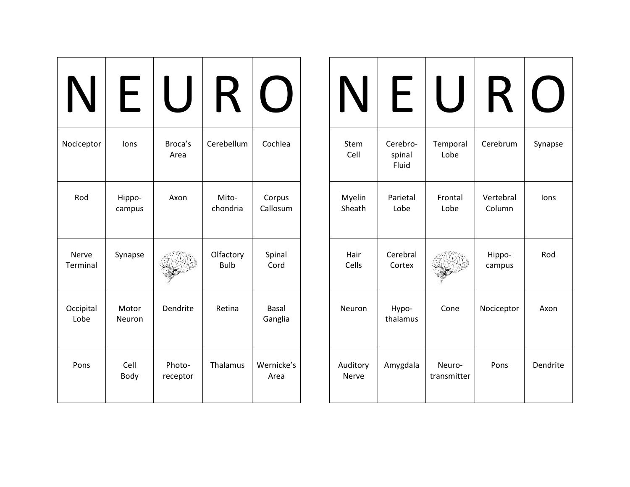|                          | ┝                |                    | $\boldsymbol{\mathsf{R}}$ |                         |
|--------------------------|------------------|--------------------|---------------------------|-------------------------|
| Nociceptor               | lons             | Broca's<br>Area    | Cerebellum                | Cochlea                 |
| Rod                      | Hippo-<br>campus | Axon               | Mito-<br>chondria         | Corpus<br>Callosum      |
| <b>Nerve</b><br>Terminal | Synapse          |                    | Olfactory<br><b>Bulb</b>  | Spinal<br>Cord          |
| Occipital<br>Lobe        | Motor<br>Neuron  | Dendrite           | Retina                    | <b>Basal</b><br>Ganglia |
| Pons                     | Cell<br>Body     | Photo-<br>receptor | Thalamus                  | Wernicke's<br>Area      |

| $\mathbf N$       | ┝                           |                       |                     |          |
|-------------------|-----------------------------|-----------------------|---------------------|----------|
| Stem<br>Cell      | Cerebro-<br>spinal<br>Fluid | Temporal<br>Lobe      | Cerebrum            | Synapse  |
| Myelin<br>Sheath  | Parietal<br>Lobe            | Frontal<br>Lobe       | Vertebral<br>Column | lons     |
| Hair<br>Cells     | Cerebral<br>Cortex          |                       | Hippo-<br>campus    | Rod      |
| Neuron            | Hypo-<br>thalamus           | Cone                  | Nociceptor          | Axon     |
| Auditory<br>Nerve | Amygdala                    | Neuro-<br>transmitter | Pons                | Dendrite |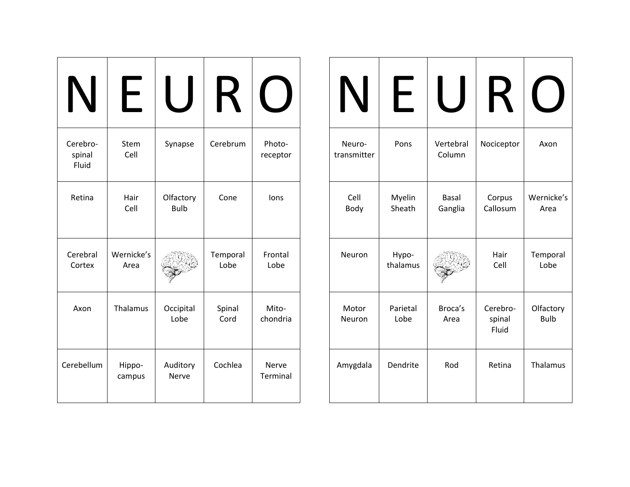|                             | $\vdash$           |                          | $\boldsymbol{\mathsf{R}}$ |                    |
|-----------------------------|--------------------|--------------------------|---------------------------|--------------------|
| Cerebro-<br>spinal<br>Fluid | Stem<br>Cell       | Synapse                  | Cerebrum                  | Photo-<br>receptor |
| Retina                      | Hair<br>Cell       | Olfactory<br><b>Bulb</b> | Cone                      | lons               |
| Cerebral<br>Cortex          | Wernicke's<br>Area |                          | Temporal<br>Lobe          | Frontal<br>Lobe    |
| Axon                        | Thalamus           | Occipital<br>Lobe        | Spinal<br>Cord            | Mito-<br>chondria  |
| Cerebellum                  | Hippo-<br>campus   | Auditory<br>Nerve        | Cochlea                   | Nerve<br>Terminal  |

|                       | ┝                 |                     |                             |                          |
|-----------------------|-------------------|---------------------|-----------------------------|--------------------------|
| Neuro-<br>transmitter | Pons              | Vertebral<br>Column | Nociceptor                  | Axon                     |
| Cell<br>Body          | Myelin<br>Sheath  | Basal<br>Ganglia    | Corpus<br>Callosum          | Wernicke's<br>Area       |
| Neuron                | Hypo-<br>thalamus |                     | Hair<br>Cell                | Temporal<br>Lobe         |
| Motor<br>Neuron       | Parietal<br>Lobe  | Broca's<br>Area     | Cerebro-<br>spinal<br>Fluid | Olfactory<br><b>Bulb</b> |
| Amygdala              | Dendrite          | Rod                 | Retina                      | Thalamus                 |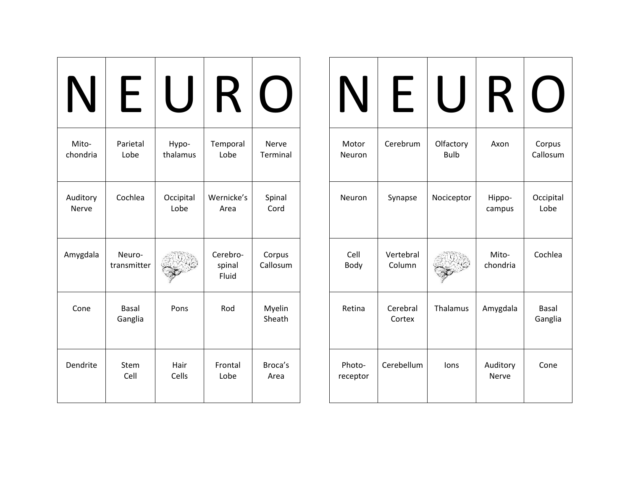| Mito-    | Parietal                | Hypo-     | Temporal                    | <b>Nerve</b>       |
|----------|-------------------------|-----------|-----------------------------|--------------------|
| chondria | Lobe                    | thalamus  | Lobe                        | <b>Terminal</b>    |
| Auditory | Cochlea                 | Occipital | Wernicke's                  | Spinal             |
| Nerve    |                         | Lobe      | Area                        | Cord               |
| Amygdala | Neuro-<br>transmitter   |           | Cerebro-<br>spinal<br>Fluid | Corpus<br>Callosum |
| Cone     | <b>Basal</b><br>Ganglia | Pons      | Rod                         | Myelin<br>Sheath   |
| Dendrite | Stem                    | Hair      | Frontal                     | Broca's            |
|          | Cell                    | Cells     | Lobe                        | Area               |

| IN                 | $\overline{\phantom{0}}$ |                          | К                 |                         |
|--------------------|--------------------------|--------------------------|-------------------|-------------------------|
| Motor<br>Neuron    | Cerebrum                 | Olfactory<br><b>Bulb</b> | Axon              | Corpus<br>Callosum      |
| Neuron             | Synapse                  | Nociceptor               | Hippo-<br>campus  | Occipital<br>Lobe       |
| Cell<br>Body       | Vertebral<br>Column      |                          | Mito-<br>chondria | Cochlea                 |
| Retina             | Cerebral<br>Cortex       | Thalamus                 | Amygdala          | <b>Basal</b><br>Ganglia |
| Photo-<br>receptor | Cerebellum               | lons                     | Auditory<br>Nerve | Cone                    |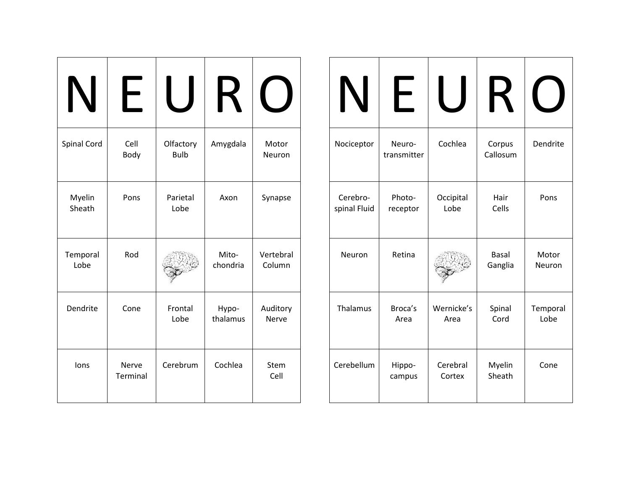|                  |                   |                          | $\boldsymbol{\mathsf{R}}$ |                     |
|------------------|-------------------|--------------------------|---------------------------|---------------------|
| Spinal Cord      | Cell<br>Body      | Olfactory<br><b>Bulb</b> | Amygdala                  | Motor<br>Neuron     |
| Myelin<br>Sheath | Pons              | Parietal<br>Lobe         | Axon                      | Synapse             |
| Temporal<br>Lobe | Rod               |                          | Mito-<br>chondria         | Vertebral<br>Column |
| Dendrite         | Cone              | Frontal<br>Lobe          | Hypo-<br>thalamus         | Auditory<br>Nerve   |
| lons             | Nerve<br>Terminal | Cerebrum                 | Cochlea                   | Stem<br>Cell        |

| IN                       | ┝                     |                    | $\boldsymbol{\mathsf{R}}$ |                  |
|--------------------------|-----------------------|--------------------|---------------------------|------------------|
| Nociceptor               | Neuro-<br>transmitter | Cochlea            | Corpus<br>Callosum        | Dendrite         |
| Cerebro-<br>spinal Fluid | Photo-<br>receptor    | Occipital<br>Lobe  | Hair<br>Cells             | Pons             |
| Neuron                   | Retina                |                    | <b>Basal</b><br>Ganglia   | Motor<br>Neuron  |
| Thalamus                 | Broca's<br>Area       | Wernicke's<br>Area | Spinal<br>Cord            | Temporal<br>Lobe |
| Cerebellum               | Hippo-<br>campus      | Cerebral<br>Cortex | Myelin<br>Sheath          | Cone             |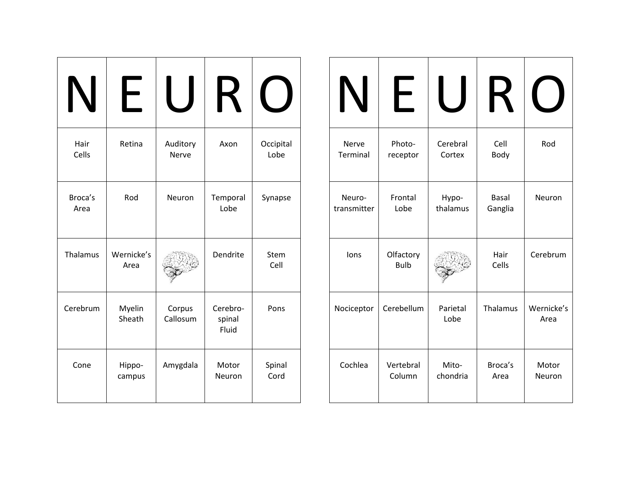| Hair<br>Cells   | Retina             | Auditory<br>Nerve  | Axon                        | Occipital<br>Lobe |
|-----------------|--------------------|--------------------|-----------------------------|-------------------|
| Broca's<br>Area | Rod                | Neuron             | Temporal<br>Lobe            | Synapse           |
| Thalamus        | Wernicke's<br>Area |                    | Dendrite                    | Stem<br>Cell      |
| Cerebrum        | Myelin<br>Sheath   | Corpus<br>Callosum | Cerebro-<br>spinal<br>Fluid | Pons              |
| Cone            | Hippo-<br>campus   | Amygdala           | Motor<br>Neuron             | Spinal<br>Cord    |

| IN          |                          |                  |               |                    |
|-------------|--------------------------|------------------|---------------|--------------------|
| Nerve       | Photo-                   | Cerebral         | Cell          | Rod                |
| Terminal    | receptor                 | Cortex           | Body          |                    |
| Neuro-      | Frontal                  | Hypo-            | <b>Basal</b>  | Neuron             |
| transmitter | Lobe                     | thalamus         | Ganglia       |                    |
| lons        | Olfactory<br><b>Bulb</b> |                  | Hair<br>Cells | Cerebrum           |
| Nociceptor  | Cerebellum               | Parietal<br>Lobe | Thalamus      | Wernicke's<br>Area |
| Cochlea     | Vertebral                | Mito-            | Broca's       | Motor              |
|             | Column                   | chondria         | Area          | Neuron             |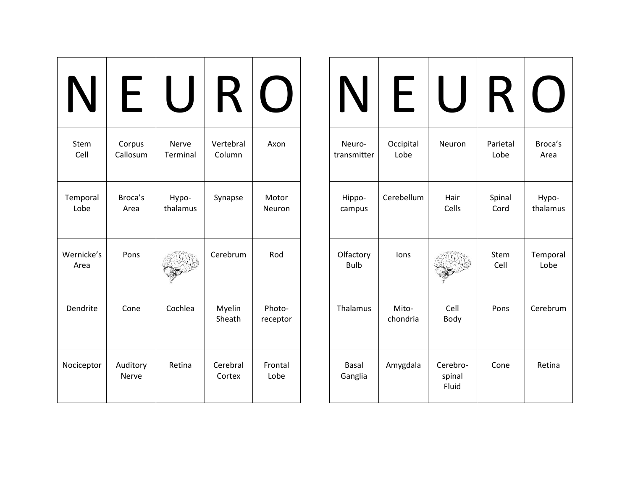| Stem<br>Cell       | Corpus<br>Callosum | Nerve<br>Terminal | Vertebral<br>Column | Axon               |
|--------------------|--------------------|-------------------|---------------------|--------------------|
| Temporal<br>Lobe   | Broca's<br>Area    | Hypo-<br>thalamus | Synapse             | Motor<br>Neuron    |
| Wernicke's<br>Area | Pons               |                   | Cerebrum            | Rod                |
| Dendrite           | Cone               | Cochlea           | Myelin<br>Sheath    | Photo-<br>receptor |
| Nociceptor         | Auditory<br>Nerve  | Retina            | Cerebral<br>Cortex  | Frontal<br>Lobe    |

| IN                       | ┡                 |                             | $\boldsymbol{\mathsf{R}}$ |                   |
|--------------------------|-------------------|-----------------------------|---------------------------|-------------------|
| Neuro-<br>transmitter    | Occipital<br>Lobe | Neuron                      | Parietal<br>Lobe          | Broca's<br>Area   |
| Hippo-<br>campus         | Cerebellum        | Hair<br>Cells               | Spinal<br>Cord            | Hypo-<br>thalamus |
| Olfactory<br><b>Bulb</b> | lons              |                             | Stem<br>Cell              | Temporal<br>Lobe  |
| Thalamus                 | Mito-<br>chondria | Cell<br>Body                | Pons                      | Cerebrum          |
| <b>Basal</b><br>Ganglia  | Amygdala          | Cerebro-<br>spinal<br>Fluid | Cone                      | Retina            |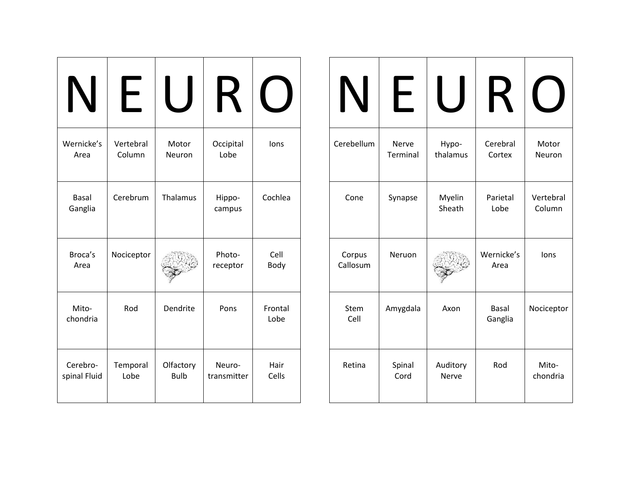| IN                       | $\vdash$            |                          |                       |                 |
|--------------------------|---------------------|--------------------------|-----------------------|-----------------|
| Wernicke's<br>Area       | Vertebral<br>Column | Motor<br>Neuron          | Occipital<br>Lobe     | lons            |
| <b>Basal</b><br>Ganglia  | Cerebrum            | Thalamus                 | Hippo-<br>campus      | Cochlea         |
| Broca's<br>Area          | Nociceptor          |                          | Photo-<br>receptor    | Cell<br>Body    |
| Mito-<br>chondria        | Rod                 | Dendrite                 | Pons                  | Frontal<br>Lobe |
| Cerebro-<br>spinal Fluid | Temporal<br>Lobe    | Olfactory<br><b>Bulb</b> | Neuro-<br>transmitter | Hair<br>Cells   |

| IN                 | $\overline{\phantom{0}}$ |                   | K                       |                     |
|--------------------|--------------------------|-------------------|-------------------------|---------------------|
| Cerebellum         | Nerve<br>Terminal        | Hypo-<br>thalamus | Cerebral<br>Cortex      | Motor<br>Neuron     |
| Cone               | Synapse                  | Myelin<br>Sheath  | Parietal<br>Lobe        | Vertebral<br>Column |
| Corpus<br>Callosum | Neruon                   |                   | Wernicke's<br>Area      | lons                |
| Stem<br>Cell       | Amygdala                 | Axon              | <b>Basal</b><br>Ganglia | Nociceptor          |
| Retina             | Spinal<br>Cord           | Auditory<br>Nerve | Rod                     | Mito-<br>chondria   |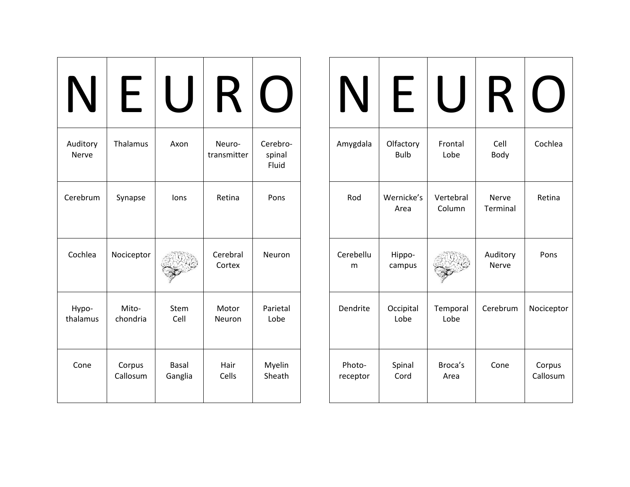| Auditory<br>Nerve | Thalamus           | Axon                    | Neuro-<br>transmitter | Cerebro-<br>spinal<br>Fluid |
|-------------------|--------------------|-------------------------|-----------------------|-----------------------------|
| Cerebrum          | Synapse            | lons                    | Retina                | Pons                        |
| Cochlea           | Nociceptor         |                         | Cerebral<br>Cortex    | Neuron                      |
| Hypo-<br>thalamus | Mito-<br>chondria  | Stem<br>Cell            | Motor<br>Neuron       | Parietal<br>Lobe            |
| Cone              | Corpus<br>Callosum | <b>Basal</b><br>Ganglia | Hair<br>Cells         | Myelin<br>Sheath            |

| IN                 | ┝                        |                     | K                        |                    |
|--------------------|--------------------------|---------------------|--------------------------|--------------------|
| Amygdala           | Olfactory<br><b>Bulb</b> | Frontal<br>Lobe     | Cell<br>Body             | Cochlea            |
| Rod                | Wernicke's<br>Area       | Vertebral<br>Column | Nerve<br><b>Terminal</b> | Retina             |
| Cerebellu<br>m     | Hippo-<br>campus         |                     | Auditory<br><b>Nerve</b> | Pons               |
| Dendrite           | Occipital<br>Lobe        | Temporal<br>Lobe    | Cerebrum                 | Nociceptor         |
| Photo-<br>receptor | Spinal<br>Cord           | Broca's<br>Area     | Cone                     | Corpus<br>Callosum |